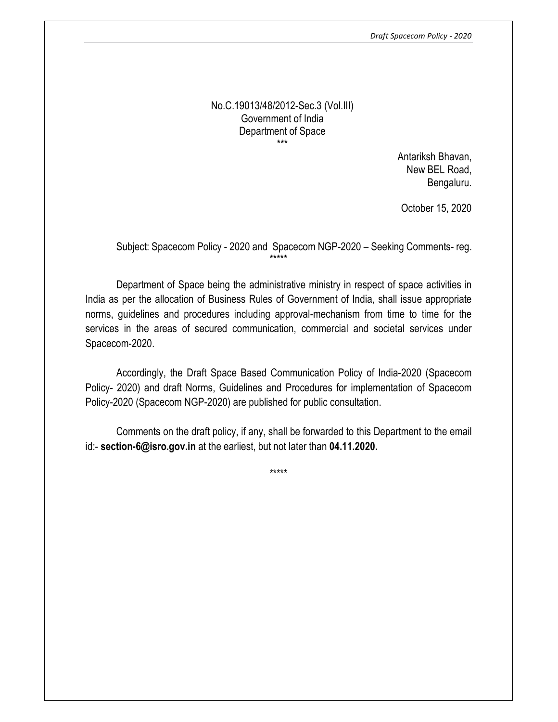Draft Spacecom Policy - 2020

#### No.C.19013/48/2012-Sec.3 (Vol.III) Government of India Department of Space \*\*\*

Antariksh Bhavan, New BEL Road, Bengaluru.

October 15, 2020

# Subject: Spacecom Policy - 2020 and Spacecom NGP-2020 – Seeking Comments- reg. \*\*\*\*\*

Department of Space being the administrative ministry in respect of space activities in India as per the allocation of Business Rules of Government of India, shall issue appropriate norms, guidelines and procedures including approval-mechanism from time to time for the services in the areas of secured communication, commercial and societal services under Spacecom-2020.

Accordingly, the Draft Space Based Communication Policy of India-2020 (Spacecom Policy- 2020) and draft Norms, Guidelines and Procedures for implementation of Spacecom Policy-2020 (Spacecom NGP-2020) are published for public consultation.

Comments on the draft policy, if any, shall be forwarded to this Department to the email id:- section-6@isro.gov.in at the earliest, but not later than 04.11.2020.

\*\*\*\*\*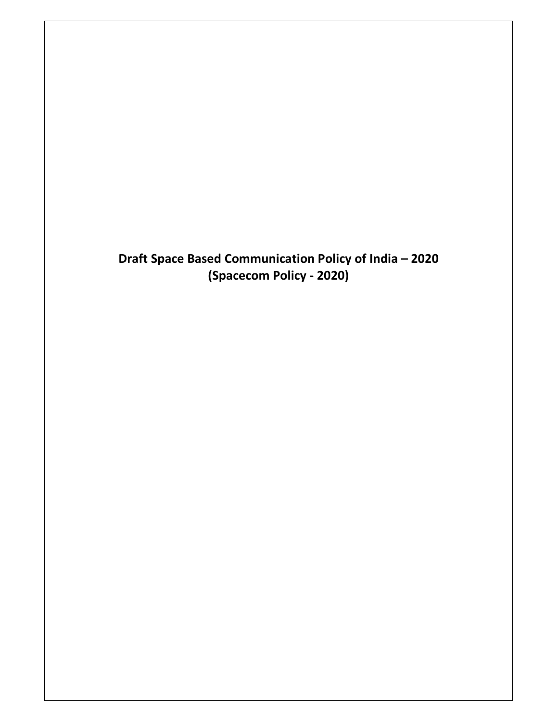Draft Space Based Communication Policy of India – 2020 (Spacecom Policy - 2020)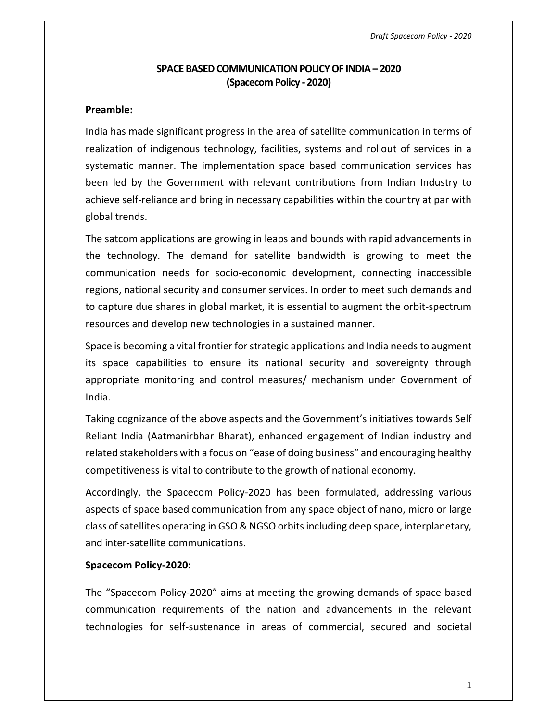## SPACE BASED COMMUNICATION POLICY OF INDIA – 2020 (Spacecom Policy - 2020)

#### Preamble:

India has made significant progress in the area of satellite communication in terms of realization of indigenous technology, facilities, systems and rollout of services in a systematic manner. The implementation space based communication services has been led by the Government with relevant contributions from Indian Industry to achieve self-reliance and bring in necessary capabilities within the country at par with global trends.

The satcom applications are growing in leaps and bounds with rapid advancements in the technology. The demand for satellite bandwidth is growing to meet the communication needs for socio-economic development, connecting inaccessible regions, national security and consumer services. In order to meet such demands and to capture due shares in global market, it is essential to augment the orbit-spectrum resources and develop new technologies in a sustained manner.

Space is becoming a vital frontier for strategic applications and India needs to augment its space capabilities to ensure its national security and sovereignty through appropriate monitoring and control measures/ mechanism under Government of India.

Taking cognizance of the above aspects and the Government's initiatives towards Self Reliant India (Aatmanirbhar Bharat), enhanced engagement of Indian industry and related stakeholders with a focus on "ease of doing business" and encouraging healthy competitiveness is vital to contribute to the growth of national economy.

Accordingly, the Spacecom Policy-2020 has been formulated, addressing various aspects of space based communication from any space object of nano, micro or large class of satellites operating in GSO & NGSO orbits including deep space, interplanetary, and inter-satellite communications.

## Spacecom Policy-2020:

The "Spacecom Policy-2020" aims at meeting the growing demands of space based communication requirements of the nation and advancements in the relevant technologies for self-sustenance in areas of commercial, secured and societal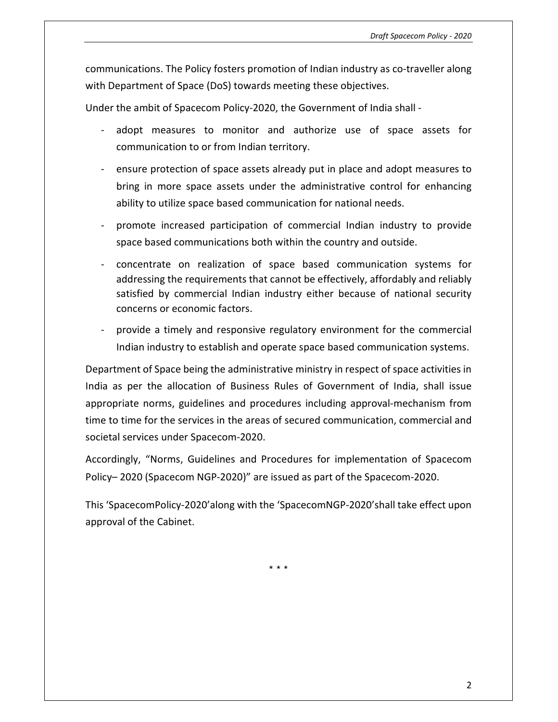communications. The Policy fosters promotion of Indian industry as co-traveller along with Department of Space (DoS) towards meeting these objectives.

Under the ambit of Spacecom Policy-2020, the Government of India shall -

- adopt measures to monitor and authorize use of space assets for communication to or from Indian territory.
- ensure protection of space assets already put in place and adopt measures to bring in more space assets under the administrative control for enhancing ability to utilize space based communication for national needs.
- promote increased participation of commercial Indian industry to provide space based communications both within the country and outside.
- concentrate on realization of space based communication systems for addressing the requirements that cannot be effectively, affordably and reliably satisfied by commercial Indian industry either because of national security concerns or economic factors.
- provide a timely and responsive regulatory environment for the commercial Indian industry to establish and operate space based communication systems.

Department of Space being the administrative ministry in respect of space activities in India as per the allocation of Business Rules of Government of India, shall issue appropriate norms, guidelines and procedures including approval-mechanism from time to time for the services in the areas of secured communication, commercial and societal services under Spacecom-2020.

Accordingly, "Norms, Guidelines and Procedures for implementation of Spacecom Policy– 2020 (Spacecom NGP-2020)" are issued as part of the Spacecom-2020.

This 'SpacecomPolicy-2020'along with the 'SpacecomNGP-2020'shall take effect upon approval of the Cabinet.

\* \* \*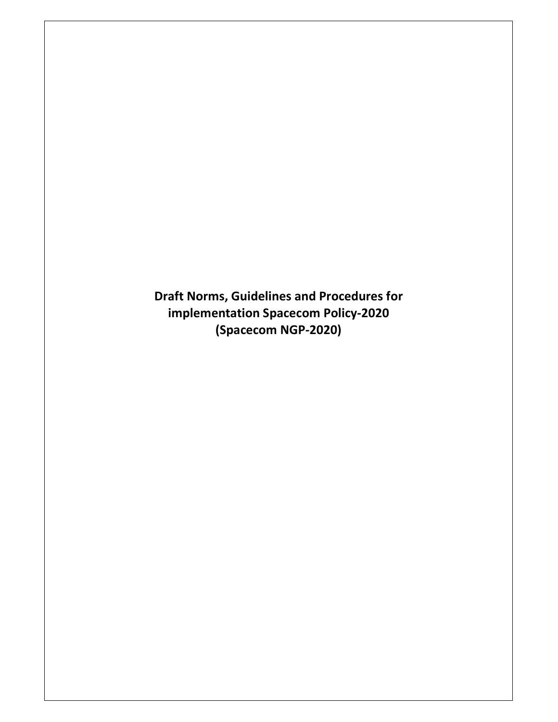Draft Norms, Guidelines and Procedures for implementation Spacecom Policy-2020 (Spacecom NGP-2020)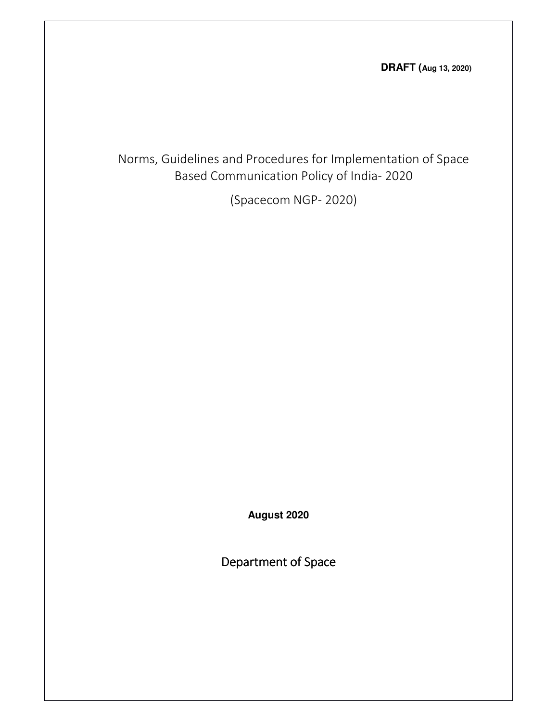**DRAFT (Aug 13, 2020)**

Norms, Guidelines and Procedures for Implementation of Space Based Communication Policy of India- 2020

(Spacecom NGP- 2020)

**August 2020** 

Department of Space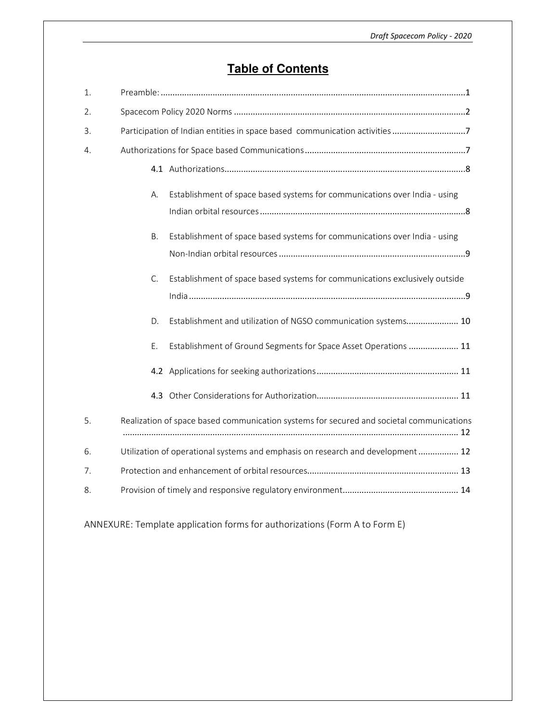# **Table of Contents**

| 1. |                                                                                          |
|----|------------------------------------------------------------------------------------------|
| 2. |                                                                                          |
| 3. | Participation of Indian entities in space based communication activities 7               |
| 4. |                                                                                          |
|    |                                                                                          |
|    | Establishment of space based systems for communications over India - using<br>А.         |
|    |                                                                                          |
|    | Establishment of space based systems for communications over India - using<br>B.         |
|    |                                                                                          |
|    | Establishment of space based systems for communications exclusively outside<br>C.        |
|    |                                                                                          |
|    | Establishment and utilization of NGSO communication systems 10<br>D.                     |
|    | Establishment of Ground Segments for Space Asset Operations  11<br>Ε.                    |
|    |                                                                                          |
|    |                                                                                          |
| 5. | Realization of space based communication systems for secured and societal communications |
| 6. | Utilization of operational systems and emphasis on research and development 12           |
| 7. |                                                                                          |
| 8. |                                                                                          |

ANNEXURE: Template application forms for authorizations (Form A to Form E)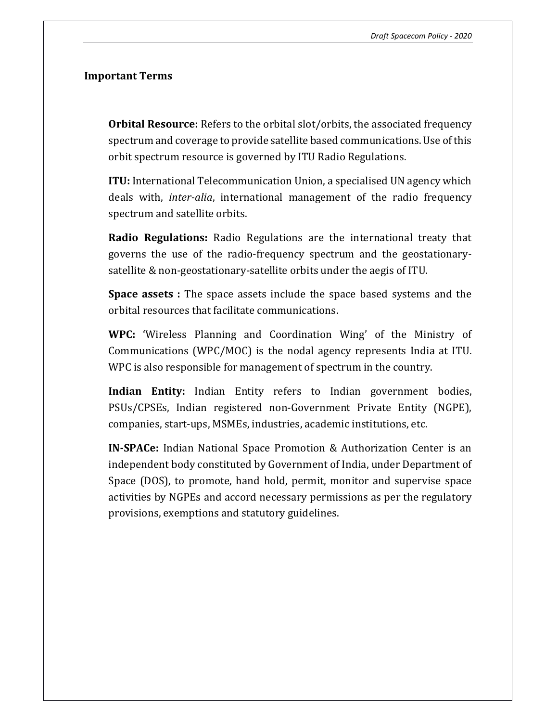#### Important Terms

**Orbital Resource:** Refers to the orbital slot/orbits, the associated frequency spectrum and coverage to provide satellite based communications. Use of this orbit spectrum resource is governed by ITU Radio Regulations.

ITU: International Telecommunication Union, a specialised UN agency which deals with, inter-alia, international management of the radio frequency spectrum and satellite orbits.

Radio Regulations: Radio Regulations are the international treaty that governs the use of the radio-frequency spectrum and the geostationarysatellite & non-geostationary-satellite orbits under the aegis of ITU.

Space assets : The space assets include the space based systems and the orbital resources that facilitate communications.

WPC: 'Wireless Planning and Coordination Wing' of the Ministry of Communications (WPC/MOC) is the nodal agency represents India at ITU. WPC is also responsible for management of spectrum in the country.

Indian Entity: Indian Entity refers to Indian government bodies, PSUs/CPSEs, Indian registered non-Government Private Entity (NGPE), companies, start-ups, MSMEs, industries, academic institutions, etc.

IN-SPACe: Indian National Space Promotion & Authorization Center is an independent body constituted by Government of India, under Department of Space (DOS), to promote, hand hold, permit, monitor and supervise space activities by NGPEs and accord necessary permissions as per the regulatory provisions, exemptions and statutory guidelines.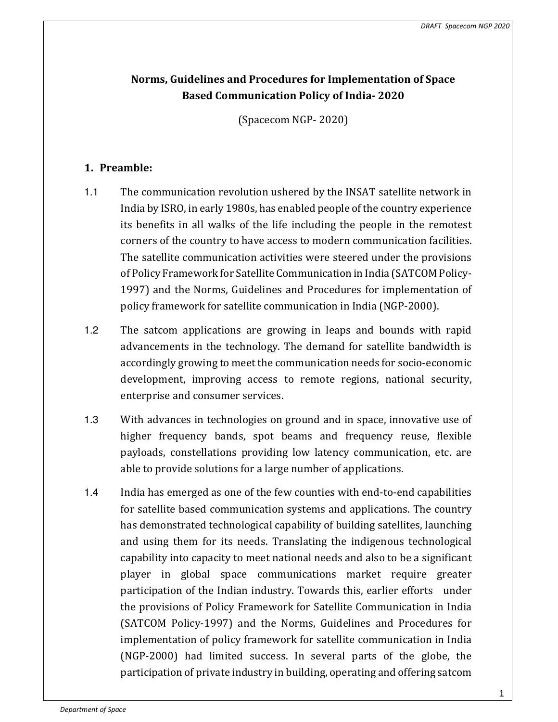# Norms, Guidelines and Procedures for Implementation of Space Based Communication Policy of India- 2020

(Spacecom NGP- 2020)

# 1. Preamble:

- 1.1 The communication revolution ushered by the INSAT satellite network in India by ISRO, in early 1980s, has enabled people of the country experience its benefits in all walks of the life including the people in the remotest corners of the country to have access to modern communication facilities. The satellite communication activities were steered under the provisions of Policy Framework for Satellite Communication in India (SATCOM Policy-1997) and the Norms, Guidelines and Procedures for implementation of policy framework for satellite communication in India (NGP-2000).
- 1.2 The satcom applications are growing in leaps and bounds with rapid advancements in the technology. The demand for satellite bandwidth is accordingly growing to meet the communication needs for socio-economic development, improving access to remote regions, national security, enterprise and consumer services.
- 1.3 With advances in technologies on ground and in space, innovative use of higher frequency bands, spot beams and frequency reuse, flexible payloads, constellations providing low latency communication, etc. are able to provide solutions for a large number of applications.
- 1.4 India has emerged as one of the few counties with end-to-end capabilities for satellite based communication systems and applications. The country has demonstrated technological capability of building satellites, launching and using them for its needs. Translating the indigenous technological capability into capacity to meet national needs and also to be a significant player in global space communications market require greater participation of the Indian industry. Towards this, earlier efforts under the provisions of Policy Framework for Satellite Communication in India (SATCOM Policy-1997) and the Norms, Guidelines and Procedures for implementation of policy framework for satellite communication in India (NGP-2000) had limited success. In several parts of the globe, the participation of private industry in building, operating and offering satcom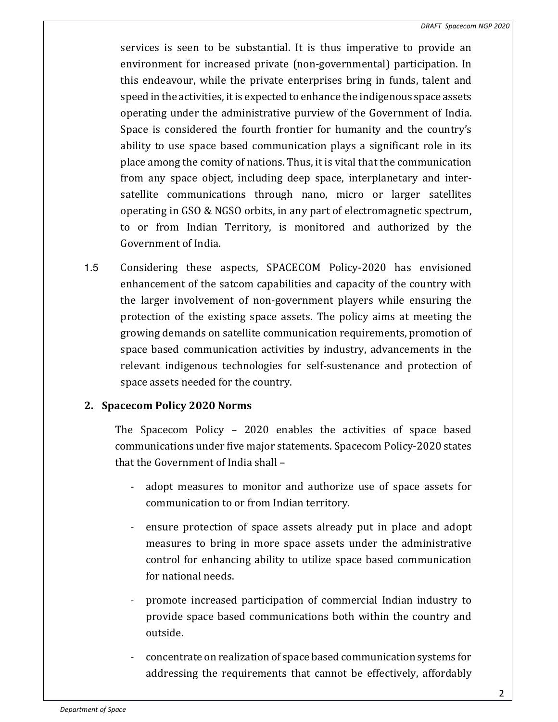services is seen to be substantial. It is thus imperative to provide an environment for increased private (non-governmental) participation. In this endeavour, while the private enterprises bring in funds, talent and speed in the activities, it is expected to enhance the indigenous space assets operating under the administrative purview of the Government of India. Space is considered the fourth frontier for humanity and the country's ability to use space based communication plays a significant role in its place among the comity of nations. Thus, it is vital that the communication from any space object, including deep space, interplanetary and intersatellite communications through nano, micro or larger satellites operating in GSO & NGSO orbits, in any part of electromagnetic spectrum, to or from Indian Territory, is monitored and authorized by the Government of India.

1.5 Considering these aspects, SPACECOM Policy-2020 has envisioned enhancement of the satcom capabilities and capacity of the country with the larger involvement of non-government players while ensuring the protection of the existing space assets. The policy aims at meeting the growing demands on satellite communication requirements, promotion of space based communication activities by industry, advancements in the relevant indigenous technologies for self-sustenance and protection of space assets needed for the country.

# 2. Spacecom Policy 2020 Norms

The Spacecom Policy – 2020 enables the activities of space based communications under five major statements. Spacecom Policy-2020 states that the Government of India shall –

- adopt measures to monitor and authorize use of space assets for communication to or from Indian territory.
- ensure protection of space assets already put in place and adopt measures to bring in more space assets under the administrative control for enhancing ability to utilize space based communication for national needs.
- promote increased participation of commercial Indian industry to provide space based communications both within the country and outside.
- concentrate on realization of space based communication systems for addressing the requirements that cannot be effectively, affordably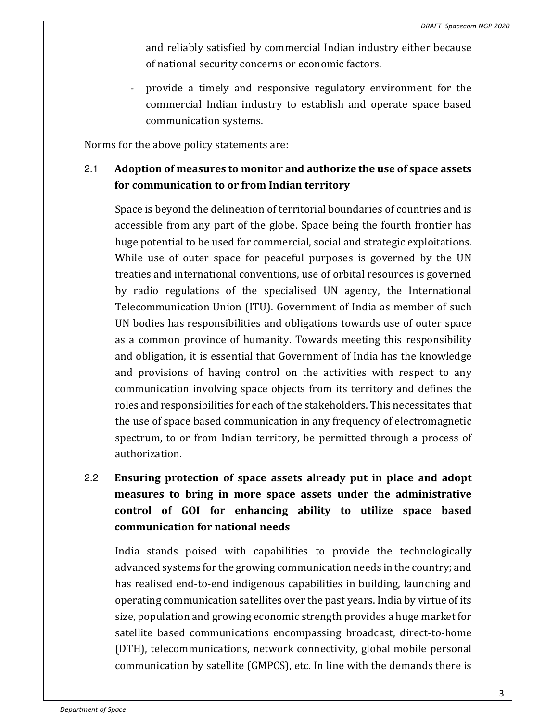and reliably satisfied by commercial Indian industry either because of national security concerns or economic factors.

- provide a timely and responsive regulatory environment for the commercial Indian industry to establish and operate space based communication systems.

Norms for the above policy statements are:

# 2.1 Adoption of measures to monitor and authorize the use of space assets for communication to or from Indian territory

Space is beyond the delineation of territorial boundaries of countries and is accessible from any part of the globe. Space being the fourth frontier has huge potential to be used for commercial, social and strategic exploitations. While use of outer space for peaceful purposes is governed by the UN treaties and international conventions, use of orbital resources is governed by radio regulations of the specialised UN agency, the International Telecommunication Union (ITU). Government of India as member of such UN bodies has responsibilities and obligations towards use of outer space as a common province of humanity. Towards meeting this responsibility and obligation, it is essential that Government of India has the knowledge and provisions of having control on the activities with respect to any communication involving space objects from its territory and defines the roles and responsibilities for each of the stakeholders. This necessitates that the use of space based communication in any frequency of electromagnetic spectrum, to or from Indian territory, be permitted through a process of authorization.

# 2.2 Ensuring protection of space assets already put in place and adopt measures to bring in more space assets under the administrative control of GOI for enhancing ability to utilize space based communication for national needs

India stands poised with capabilities to provide the technologically advanced systems for the growing communication needs in the country; and has realised end-to-end indigenous capabilities in building, launching and operating communication satellites over the past years. India by virtue of its size, population and growing economic strength provides a huge market for satellite based communications encompassing broadcast, direct-to-home (DTH), telecommunications, network connectivity, global mobile personal communication by satellite (GMPCS), etc. In line with the demands there is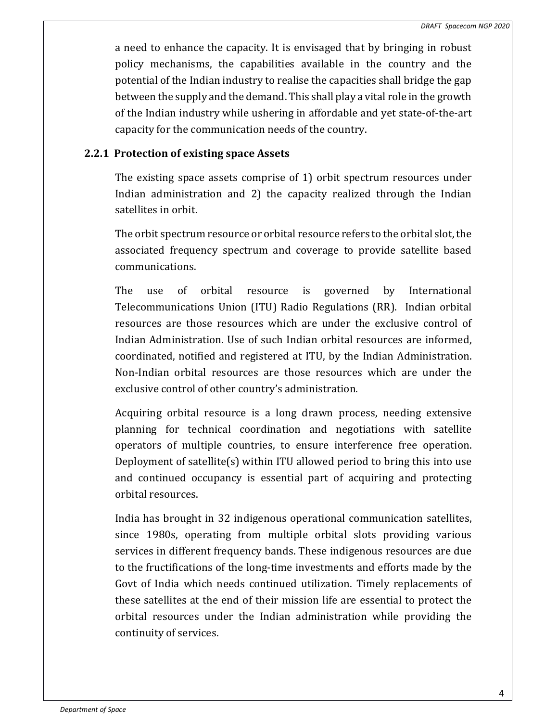a need to enhance the capacity. It is envisaged that by bringing in robust policy mechanisms, the capabilities available in the country and the potential of the Indian industry to realise the capacities shall bridge the gap between the supply and the demand. This shall play a vital role in the growth of the Indian industry while ushering in affordable and yet state-of-the-art capacity for the communication needs of the country.

# 2.2.1 Protection of existing space Assets

The existing space assets comprise of 1) orbit spectrum resources under Indian administration and 2) the capacity realized through the Indian satellites in orbit.

The orbit spectrum resource or orbital resource refers to the orbital slot, the associated frequency spectrum and coverage to provide satellite based communications.

The use of orbital resource is governed by International Telecommunications Union (ITU) Radio Regulations (RR). Indian orbital resources are those resources which are under the exclusive control of Indian Administration. Use of such Indian orbital resources are informed, coordinated, notified and registered at ITU, by the Indian Administration. Non-Indian orbital resources are those resources which are under the exclusive control of other country's administration.

Acquiring orbital resource is a long drawn process, needing extensive planning for technical coordination and negotiations with satellite operators of multiple countries, to ensure interference free operation. Deployment of satellite(s) within ITU allowed period to bring this into use and continued occupancy is essential part of acquiring and protecting orbital resources.

India has brought in 32 indigenous operational communication satellites, since 1980s, operating from multiple orbital slots providing various services in different frequency bands. These indigenous resources are due to the fructifications of the long-time investments and efforts made by the Govt of India which needs continued utilization. Timely replacements of these satellites at the end of their mission life are essential to protect the orbital resources under the Indian administration while providing the continuity of services.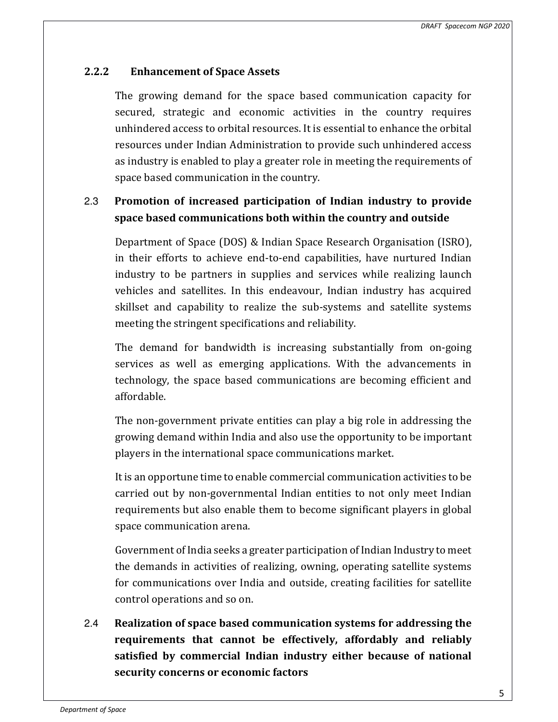# 2.2.2 Enhancement of Space Assets

The growing demand for the space based communication capacity for secured, strategic and economic activities in the country requires unhindered access to orbital resources. It is essential to enhance the orbital resources under Indian Administration to provide such unhindered access as industry is enabled to play a greater role in meeting the requirements of space based communication in the country.

# 2.3 Promotion of increased participation of Indian industry to provide space based communications both within the country and outside

Department of Space (DOS) & Indian Space Research Organisation (ISRO), in their efforts to achieve end-to-end capabilities, have nurtured Indian industry to be partners in supplies and services while realizing launch vehicles and satellites. In this endeavour, Indian industry has acquired skillset and capability to realize the sub-systems and satellite systems meeting the stringent specifications and reliability.

The demand for bandwidth is increasing substantially from on-going services as well as emerging applications. With the advancements in technology, the space based communications are becoming efficient and affordable.

The non-government private entities can play a big role in addressing the growing demand within India and also use the opportunity to be important players in the international space communications market.

It is an opportune time to enable commercial communication activities to be carried out by non-governmental Indian entities to not only meet Indian requirements but also enable them to become significant players in global space communication arena.

Government of India seeks a greater participation of Indian Industry to meet the demands in activities of realizing, owning, operating satellite systems for communications over India and outside, creating facilities for satellite control operations and so on.

2.4 Realization of space based communication systems for addressing the requirements that cannot be effectively, affordably and reliably satisfied by commercial Indian industry either because of national security concerns or economic factors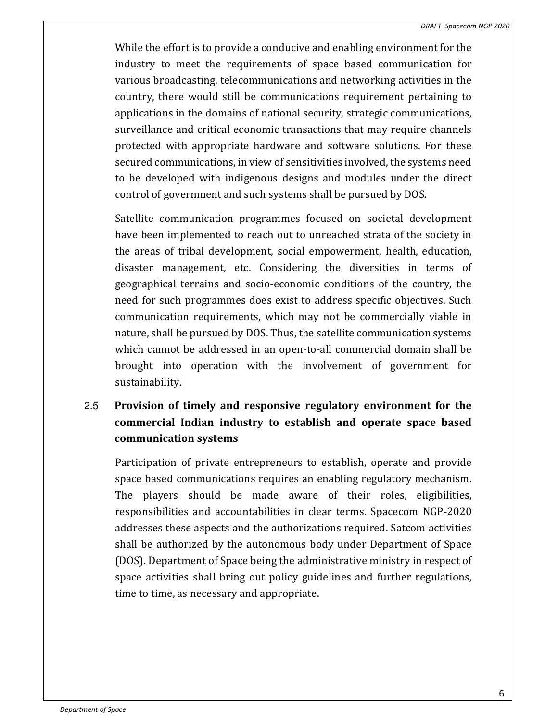While the effort is to provide a conducive and enabling environment for the industry to meet the requirements of space based communication for various broadcasting, telecommunications and networking activities in the country, there would still be communications requirement pertaining to applications in the domains of national security, strategic communications, surveillance and critical economic transactions that may require channels protected with appropriate hardware and software solutions. For these secured communications, in view of sensitivities involved, the systems need to be developed with indigenous designs and modules under the direct control of government and such systems shall be pursued by DOS.

Satellite communication programmes focused on societal development have been implemented to reach out to unreached strata of the society in the areas of tribal development, social empowerment, health, education, disaster management, etc. Considering the diversities in terms of geographical terrains and socio-economic conditions of the country, the need for such programmes does exist to address specific objectives. Such communication requirements, which may not be commercially viable in nature, shall be pursued by DOS. Thus, the satellite communication systems which cannot be addressed in an open-to-all commercial domain shall be brought into operation with the involvement of government for sustainability.

# 2.5 Provision of timely and responsive regulatory environment for the commercial Indian industry to establish and operate space based communication systems

Participation of private entrepreneurs to establish, operate and provide space based communications requires an enabling regulatory mechanism. The players should be made aware of their roles, eligibilities, responsibilities and accountabilities in clear terms. Spacecom NGP-2020 addresses these aspects and the authorizations required. Satcom activities shall be authorized by the autonomous body under Department of Space (DOS). Department of Space being the administrative ministry in respect of space activities shall bring out policy guidelines and further regulations, time to time, as necessary and appropriate.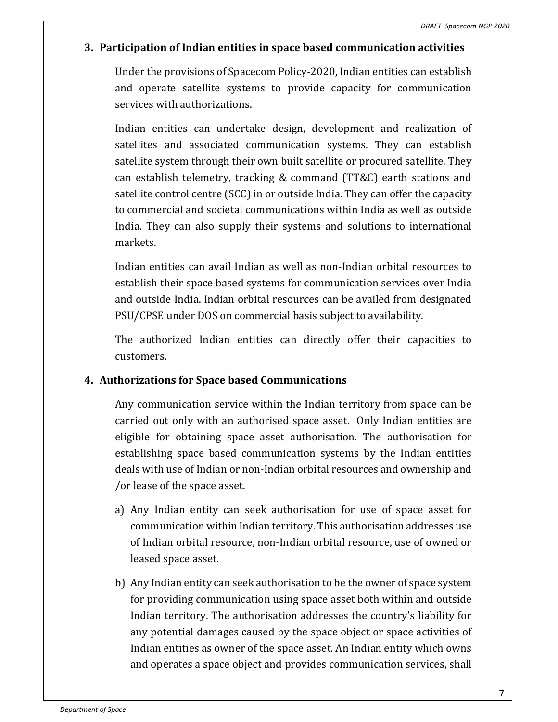# 3. Participation of Indian entities in space based communication activities

Under the provisions of Spacecom Policy-2020, Indian entities can establish and operate satellite systems to provide capacity for communication services with authorizations.

Indian entities can undertake design, development and realization of satellites and associated communication systems. They can establish satellite system through their own built satellite or procured satellite. They can establish telemetry, tracking & command (TT&C) earth stations and satellite control centre (SCC) in or outside India. They can offer the capacity to commercial and societal communications within India as well as outside India. They can also supply their systems and solutions to international markets.

Indian entities can avail Indian as well as non-Indian orbital resources to establish their space based systems for communication services over India and outside India. Indian orbital resources can be availed from designated PSU/CPSE under DOS on commercial basis subject to availability.

The authorized Indian entities can directly offer their capacities to customers.

# 4. Authorizations for Space based Communications

Any communication service within the Indian territory from space can be carried out only with an authorised space asset. Only Indian entities are eligible for obtaining space asset authorisation. The authorisation for establishing space based communication systems by the Indian entities deals with use of Indian or non-Indian orbital resources and ownership and /or lease of the space asset.

- a) Any Indian entity can seek authorisation for use of space asset for communication within Indian territory. This authorisation addresses use of Indian orbital resource, non-Indian orbital resource, use of owned or leased space asset.
- b) Any Indian entity can seek authorisation to be the owner of space system for providing communication using space asset both within and outside Indian territory. The authorisation addresses the country's liability for any potential damages caused by the space object or space activities of Indian entities as owner of the space asset. An Indian entity which owns and operates a space object and provides communication services, shall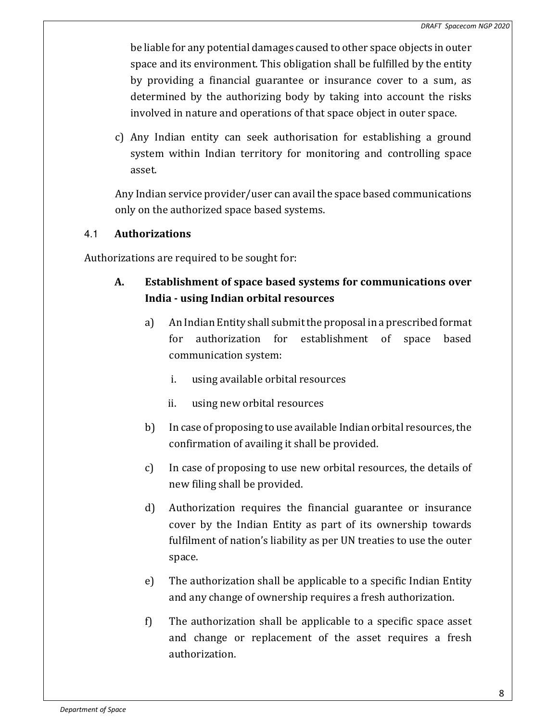be liable for any potential damages caused to other space objects in outer space and its environment. This obligation shall be fulfilled by the entity by providing a financial guarantee or insurance cover to a sum, as determined by the authorizing body by taking into account the risks involved in nature and operations of that space object in outer space.

c) Any Indian entity can seek authorisation for establishing a ground system within Indian territory for monitoring and controlling space asset.

Any Indian service provider/user can avail the space based communications only on the authorized space based systems.

# 4.1 Authorizations

Authorizations are required to be sought for:

# A. Establishment of space based systems for communications over India - using Indian orbital resources

- a) An Indian Entity shall submit the proposal in a prescribed format for authorization for establishment of space based communication system:
	- i. using available orbital resources
	- ii. using new orbital resources
- b) In case of proposing to use available Indian orbital resources, the confirmation of availing it shall be provided.
- c) In case of proposing to use new orbital resources, the details of new filing shall be provided.
- d) Authorization requires the financial guarantee or insurance cover by the Indian Entity as part of its ownership towards fulfilment of nation's liability as per UN treaties to use the outer space.
- e) The authorization shall be applicable to a specific Indian Entity and any change of ownership requires a fresh authorization.
- f) The authorization shall be applicable to a specific space asset and change or replacement of the asset requires a fresh authorization.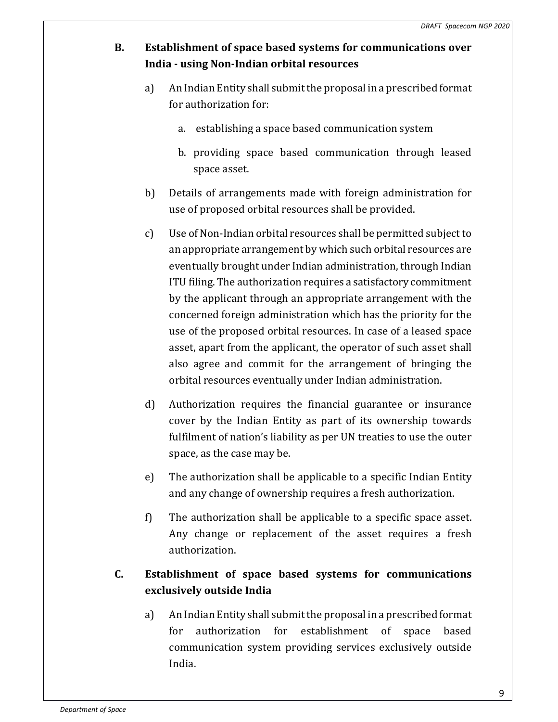- B. Establishment of space based systems for communications over India - using Non-Indian orbital resources
	- a) An Indian Entity shall submit the proposal in a prescribed format for authorization for:
		- a. establishing a space based communication system
		- b. providing space based communication through leased space asset.
	- b) Details of arrangements made with foreign administration for use of proposed orbital resources shall be provided.
	- c) Use of Non-Indian orbital resources shall be permitted subject to an appropriate arrangement by which such orbital resources are eventually brought under Indian administration, through Indian ITU filing. The authorization requires a satisfactory commitment by the applicant through an appropriate arrangement with the concerned foreign administration which has the priority for the use of the proposed orbital resources. In case of a leased space asset, apart from the applicant, the operator of such asset shall also agree and commit for the arrangement of bringing the orbital resources eventually under Indian administration.
	- d) Authorization requires the financial guarantee or insurance cover by the Indian Entity as part of its ownership towards fulfilment of nation's liability as per UN treaties to use the outer space, as the case may be.
	- e) The authorization shall be applicable to a specific Indian Entity and any change of ownership requires a fresh authorization.
	- f) The authorization shall be applicable to a specific space asset. Any change or replacement of the asset requires a fresh authorization.

# C. Establishment of space based systems for communications exclusively outside India

a) An Indian Entity shall submit the proposal in a prescribed format for authorization for establishment of space based communication system providing services exclusively outside India.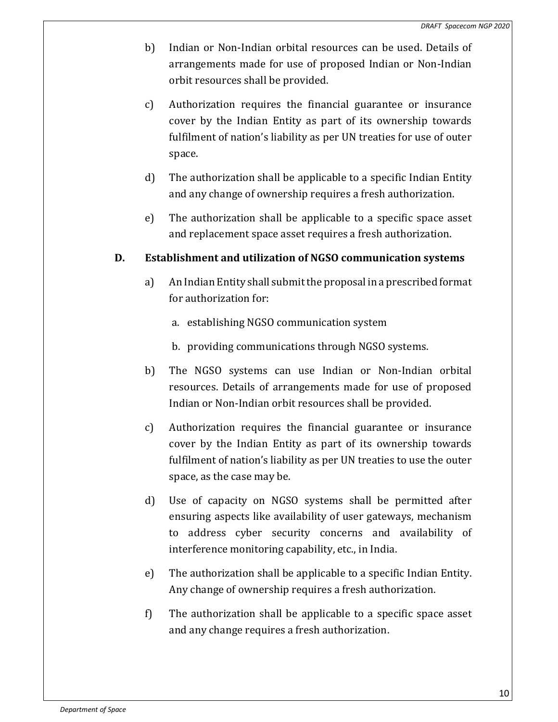- b) Indian or Non-Indian orbital resources can be used. Details of arrangements made for use of proposed Indian or Non-Indian orbit resources shall be provided.
- c) Authorization requires the financial guarantee or insurance cover by the Indian Entity as part of its ownership towards fulfilment of nation's liability as per UN treaties for use of outer space.
- d) The authorization shall be applicable to a specific Indian Entity and any change of ownership requires a fresh authorization.
- e) The authorization shall be applicable to a specific space asset and replacement space asset requires a fresh authorization.

# D. Establishment and utilization of NGSO communication systems

- a) An Indian Entity shall submit the proposal in a prescribed format for authorization for:
	- a. establishing NGSO communication system
	- b. providing communications through NGSO systems.
- b) The NGSO systems can use Indian or Non-Indian orbital resources. Details of arrangements made for use of proposed Indian or Non-Indian orbit resources shall be provided.
- c) Authorization requires the financial guarantee or insurance cover by the Indian Entity as part of its ownership towards fulfilment of nation's liability as per UN treaties to use the outer space, as the case may be.
- d) Use of capacity on NGSO systems shall be permitted after ensuring aspects like availability of user gateways, mechanism to address cyber security concerns and availability of interference monitoring capability, etc., in India.
- e) The authorization shall be applicable to a specific Indian Entity. Any change of ownership requires a fresh authorization.
- f) The authorization shall be applicable to a specific space asset and any change requires a fresh authorization.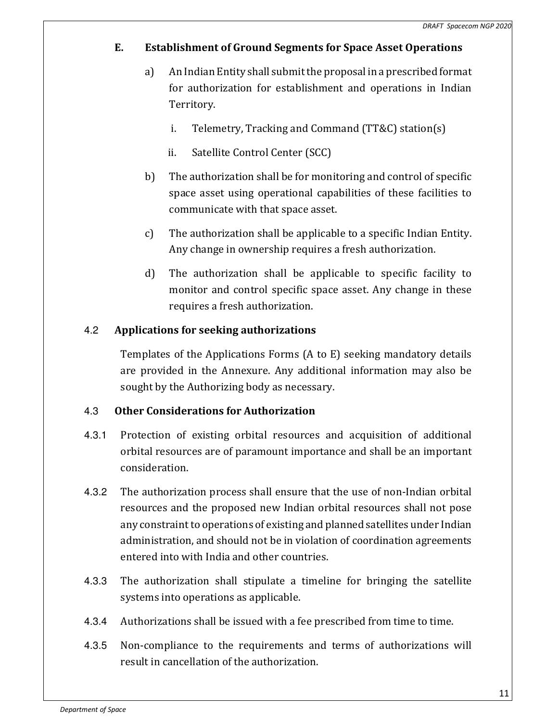# E. Establishment of Ground Segments for Space Asset Operations

- a) An Indian Entity shall submit the proposal in a prescribed format for authorization for establishment and operations in Indian Territory.
	- i. Telemetry, Tracking and Command (TT&C) station(s)
	- ii. Satellite Control Center (SCC)
- b) The authorization shall be for monitoring and control of specific space asset using operational capabilities of these facilities to communicate with that space asset.
- c) The authorization shall be applicable to a specific Indian Entity. Any change in ownership requires a fresh authorization.
- d) The authorization shall be applicable to specific facility to monitor and control specific space asset. Any change in these requires a fresh authorization.

# 4.2 Applications for seeking authorizations

Templates of the Applications Forms (A to E) seeking mandatory details are provided in the Annexure. Any additional information may also be sought by the Authorizing body as necessary.

# 4.3 Other Considerations for Authorization

- 4.3.1 Protection of existing orbital resources and acquisition of additional orbital resources are of paramount importance and shall be an important consideration.
- 4.3.2 The authorization process shall ensure that the use of non-Indian orbital resources and the proposed new Indian orbital resources shall not pose any constraint to operations of existing and planned satellites under Indian administration, and should not be in violation of coordination agreements entered into with India and other countries.
- 4.3.3 The authorization shall stipulate a timeline for bringing the satellite systems into operations as applicable.
- 4.3.4 Authorizations shall be issued with a fee prescribed from time to time.
- 4.3.5 Non-compliance to the requirements and terms of authorizations will result in cancellation of the authorization.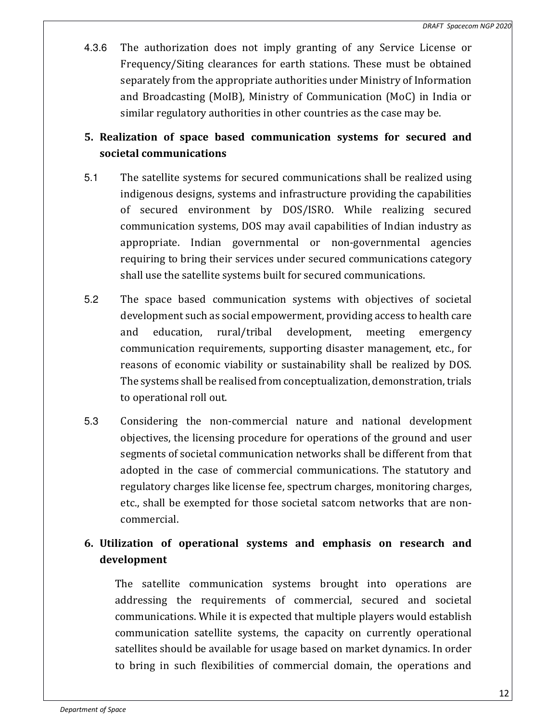4.3.6 The authorization does not imply granting of any Service License or Frequency/Siting clearances for earth stations. These must be obtained separately from the appropriate authorities under Ministry of Information and Broadcasting (MoIB), Ministry of Communication (MoC) in India or similar regulatory authorities in other countries as the case may be.

# 5. Realization of space based communication systems for secured and societal communications

- 5.1 The satellite systems for secured communications shall be realized using indigenous designs, systems and infrastructure providing the capabilities of secured environment by DOS/ISRO. While realizing secured communication systems, DOS may avail capabilities of Indian industry as appropriate. Indian governmental or non-governmental agencies requiring to bring their services under secured communications category shall use the satellite systems built for secured communications.
- 5.2 The space based communication systems with objectives of societal development such as social empowerment, providing access to health care and education, rural/tribal development, meeting emergency communication requirements, supporting disaster management, etc., for reasons of economic viability or sustainability shall be realized by DOS. The systems shall be realised from conceptualization, demonstration, trials to operational roll out.
- 5.3 Considering the non-commercial nature and national development objectives, the licensing procedure for operations of the ground and user segments of societal communication networks shall be different from that adopted in the case of commercial communications. The statutory and regulatory charges like license fee, spectrum charges, monitoring charges, etc., shall be exempted for those societal satcom networks that are noncommercial.

# 6. Utilization of operational systems and emphasis on research and development

The satellite communication systems brought into operations are addressing the requirements of commercial, secured and societal communications. While it is expected that multiple players would establish communication satellite systems, the capacity on currently operational satellites should be available for usage based on market dynamics. In order to bring in such flexibilities of commercial domain, the operations and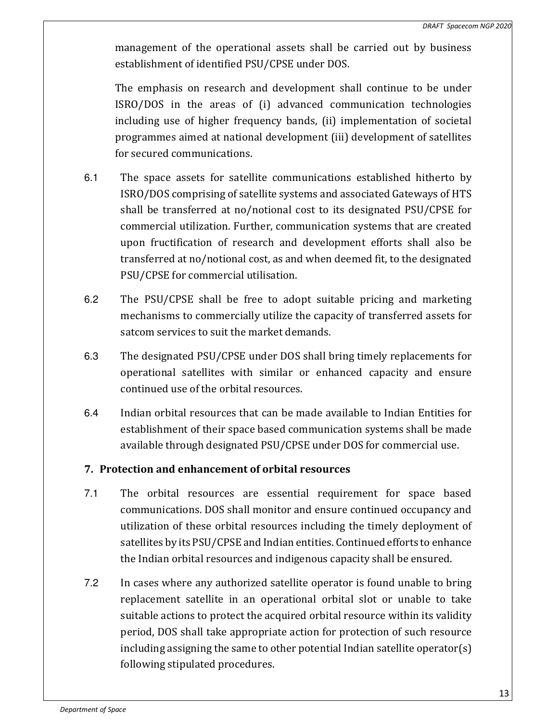management of the operational assets shall be carried out by business establishment of identified PSU/CPSE under DOS.

The emphasis on research and development shall continue to be under ISRO/DOS in the areas of (i) advanced communication technologies including use of higher frequency bands, (ii) implementation of societal programmes aimed at national development (iii) development of satellites for secured communications.

- 6.1 The space assets for satellite communications established hitherto by ISRO/DOS comprising of satellite systems and associated Gateways of HTS shall be transferred at no/notional cost to its designated PSU/CPSE for commercial utilization. Further, communication systems that are created upon fructification of research and development efforts shall also be transferred at no/notional cost, as and when deemed fit, to the designated PSU/CPSE for commercial utilisation.
- 6.2 The PSU/CPSE shall be free to adopt suitable pricing and marketing mechanisms to commercially utilize the capacity of transferred assets for satcom services to suit the market demands.
- 6.3 The designated PSU/CPSE under DOS shall bring timely replacements for operational satellites with similar or enhanced capacity and ensure continued use of the orbital resources.
- 6.4 Indian orbital resources that can be made available to Indian Entities for establishment of their space based communication systems shall be made available through designated PSU/CPSE under DOS for commercial use.

# 7. Protection and enhancement of orbital resources

- 7.1 The orbital resources are essential requirement for space based communications. DOS shall monitor and ensure continued occupancy and utilization of these orbital resources including the timely deployment of satellites by its PSU/CPSE and Indian entities. Continued efforts to enhance the Indian orbital resources and indigenous capacity shall be ensured.
- 7.2 In cases where any authorized satellite operator is found unable to bring replacement satellite in an operational orbital slot or unable to take suitable actions to protect the acquired orbital resource within its validity period, DOS shall take appropriate action for protection of such resource including assigning the same to other potential Indian satellite operator(s) following stipulated procedures.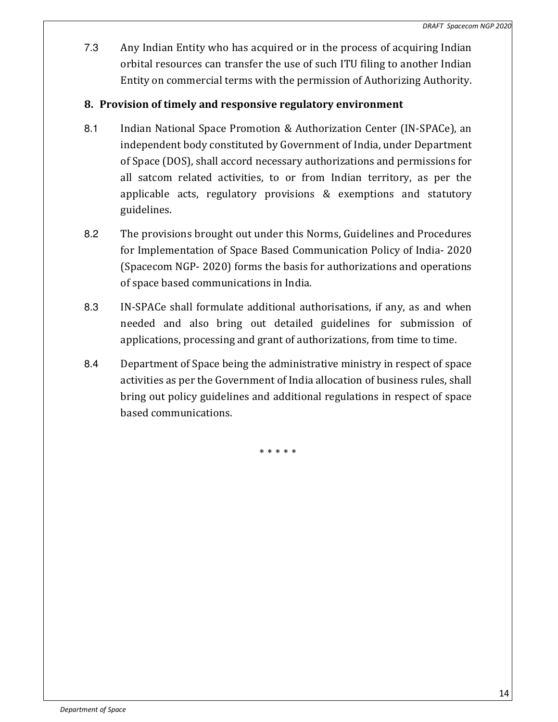7.3 Any Indian Entity who has acquired or in the process of acquiring Indian orbital resources can transfer the use of such ITU filing to another Indian Entity on commercial terms with the permission of Authorizing Authority.

# 8. Provision of timely and responsive regulatory environment

- 8.1 Indian National Space Promotion & Authorization Center (IN-SPACe), an independent body constituted by Government of India, under Department of Space (DOS), shall accord necessary authorizations and permissions for all satcom related activities, to or from Indian territory, as per the applicable acts, regulatory provisions & exemptions and statutory guidelines.
- 8.2 The provisions brought out under this Norms, Guidelines and Procedures for Implementation of Space Based Communication Policy of India- 2020 (Spacecom NGP- 2020) forms the basis for authorizations and operations of space based communications in India.
- 8.3 IN-SPACe shall formulate additional authorisations, if any, as and when needed and also bring out detailed guidelines for submission of applications, processing and grant of authorizations, from time to time.
- 8.4 Department of Space being the administrative ministry in respect of space activities as per the Government of India allocation of business rules, shall bring out policy guidelines and additional regulations in respect of space based communications.

\* \* \* \* \*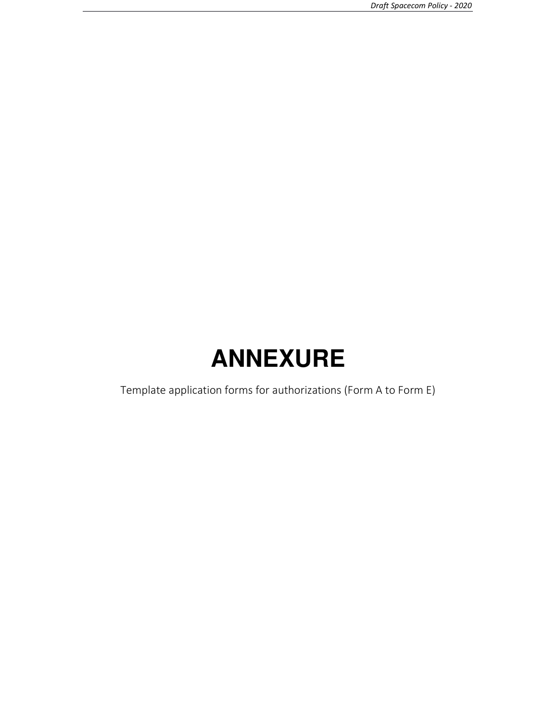# **ANNEXURE**

Template application forms for authorizations (Form A to Form E)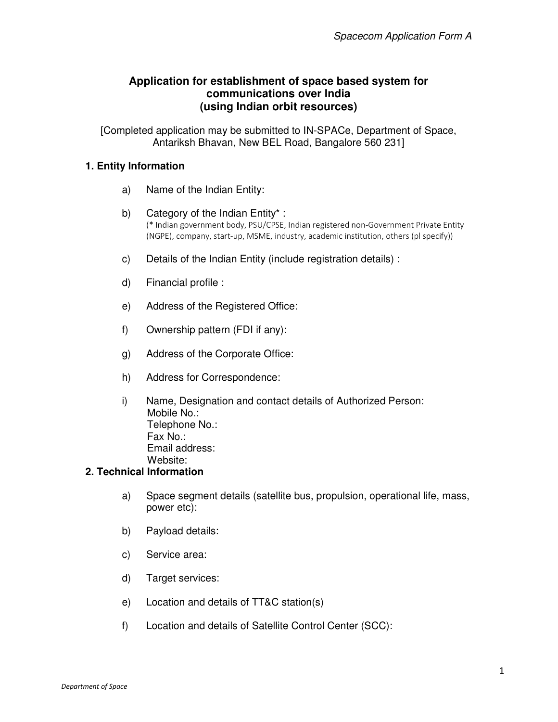# **Application for establishment of space based system for communications over India (using Indian orbit resources)**

[Completed application may be submitted to IN-SPACe, Department of Space, Antariksh Bhavan, New BEL Road, Bangalore 560 231]

## **1. Entity Information**

- a) Name of the Indian Entity:
- b) Category of the Indian Entity\* : (\* Indian government body, PSU/CPSE, Indian registered non-Government Private Entity (NGPE), company, start-up, MSME, industry, academic institution, others (pl specify))
- c) Details of the Indian Entity (include registration details) :
- d) Financial profile :
- e) Address of the Registered Office:
- f) Ownership pattern (FDI if any):
- g) Address of the Corporate Office:
- h) Address for Correspondence:
- i) Name, Designation and contact details of Authorized Person: Mobile No.: Telephone No.: Fax No.: Email address: Website:

## **2. Technical Information**

- a) Space segment details (satellite bus, propulsion, operational life, mass, power etc):
- b) Payload details:
- c) Service area:
- d) Target services:
- e) Location and details of TT&C station(s)
- f) Location and details of Satellite Control Center (SCC):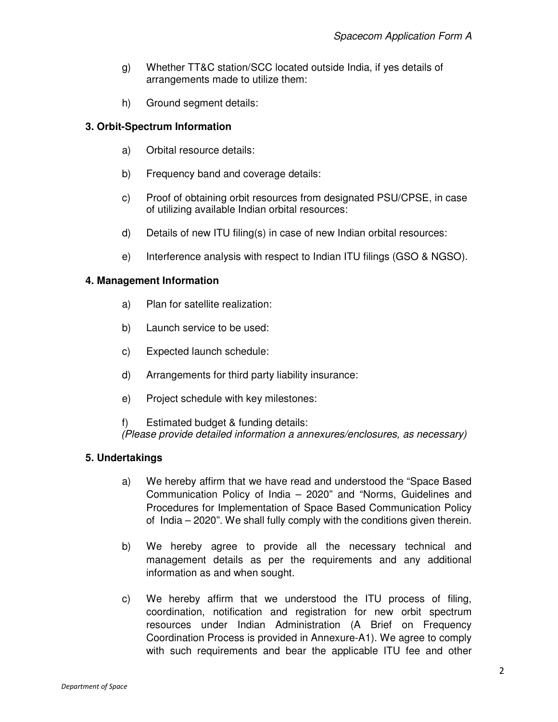- g) Whether TT&C station/SCC located outside India, if yes details of arrangements made to utilize them:
- h) Ground segment details:

## **3. Orbit-Spectrum Information**

- a) Orbital resource details:
- b) Frequency band and coverage details:
- c) Proof of obtaining orbit resources from designated PSU/CPSE, in case of utilizing available Indian orbital resources:
- d) Details of new ITU filing(s) in case of new Indian orbital resources:
- e) Interference analysis with respect to Indian ITU filings (GSO & NGSO).

## **4. Management Information**

- a) Plan for satellite realization:
- b) Launch service to be used:
- c) Expected launch schedule:
- d) Arrangements for third party liability insurance:
- e) Project schedule with key milestones:

f) Estimated budget & funding details: (Please provide detailed information a annexures/enclosures, as necessary)

## **5. Undertakings**

- a) We hereby affirm that we have read and understood the "Space Based Communication Policy of India – 2020" and "Norms, Guidelines and Procedures for Implementation of Space Based Communication Policy of India – 2020". We shall fully comply with the conditions given therein.
- b) We hereby agree to provide all the necessary technical and management details as per the requirements and any additional information as and when sought.
- c) We hereby affirm that we understood the ITU process of filing, coordination, notification and registration for new orbit spectrum resources under Indian Administration (A Brief on Frequency Coordination Process is provided in Annexure-A1). We agree to comply with such requirements and bear the applicable ITU fee and other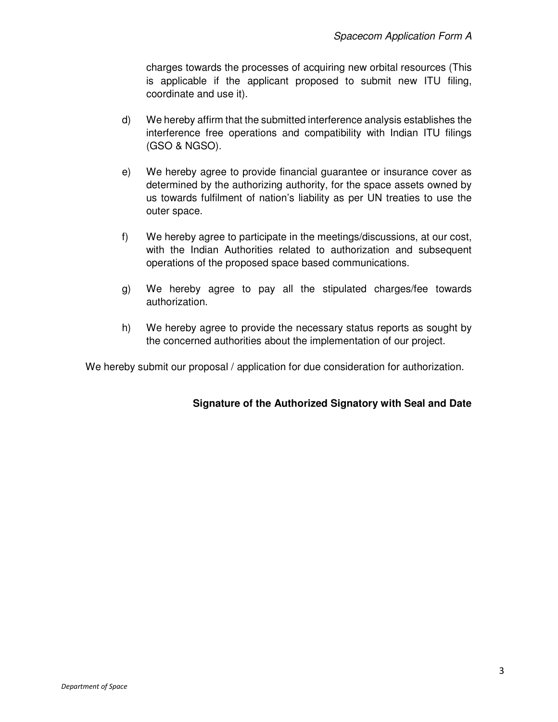charges towards the processes of acquiring new orbital resources (This is applicable if the applicant proposed to submit new ITU filing, coordinate and use it).

- d) We hereby affirm that the submitted interference analysis establishes the interference free operations and compatibility with Indian ITU filings (GSO & NGSO).
- e) We hereby agree to provide financial guarantee or insurance cover as determined by the authorizing authority, for the space assets owned by us towards fulfilment of nation's liability as per UN treaties to use the outer space.
- f) We hereby agree to participate in the meetings/discussions, at our cost, with the Indian Authorities related to authorization and subsequent operations of the proposed space based communications.
- g) We hereby agree to pay all the stipulated charges/fee towards authorization.
- h) We hereby agree to provide the necessary status reports as sought by the concerned authorities about the implementation of our project.

We hereby submit our proposal / application for due consideration for authorization.

# **Signature of the Authorized Signatory with Seal and Date**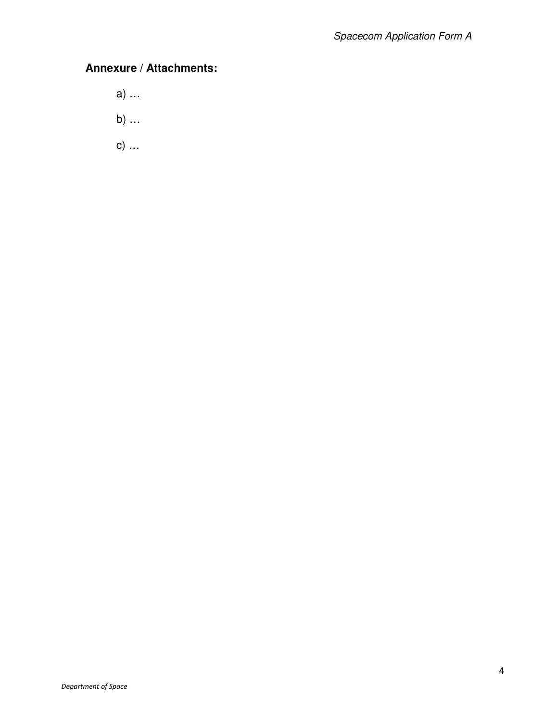# **Annexure / Attachments:**

- a) …
- b) …
- c) …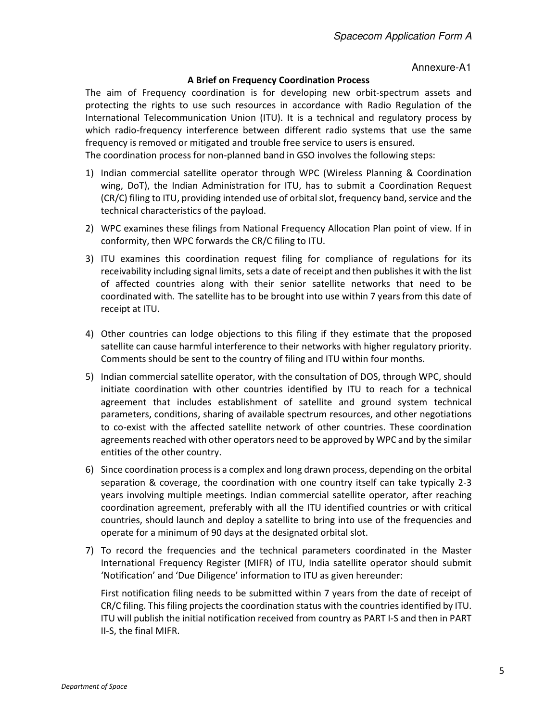#### Annexure-A1

#### A Brief on Frequency Coordination Process

The aim of Frequency coordination is for developing new orbit-spectrum assets and protecting the rights to use such resources in accordance with Radio Regulation of the International Telecommunication Union (ITU). It is a technical and regulatory process by which radio-frequency interference between different radio systems that use the same frequency is removed or mitigated and trouble free service to users is ensured.

The coordination process for non-planned band in GSO involves the following steps:

- 1) Indian commercial satellite operator through WPC (Wireless Planning & Coordination wing, DoT), the Indian Administration for ITU, has to submit a Coordination Request (CR/C) filing to ITU, providing intended use of orbital slot, frequency band, service and the technical characteristics of the payload.
- 2) WPC examines these filings from National Frequency Allocation Plan point of view. If in conformity, then WPC forwards the CR/C filing to ITU.
- 3) ITU examines this coordination request filing for compliance of regulations for its receivability including signal limits, sets a date of receipt and then publishes it with the list of affected countries along with their senior satellite networks that need to be coordinated with. The satellite has to be brought into use within 7 years from this date of receipt at ITU.
- 4) Other countries can lodge objections to this filing if they estimate that the proposed satellite can cause harmful interference to their networks with higher regulatory priority. Comments should be sent to the country of filing and ITU within four months.
- 5) Indian commercial satellite operator, with the consultation of DOS, through WPC, should initiate coordination with other countries identified by ITU to reach for a technical agreement that includes establishment of satellite and ground system technical parameters, conditions, sharing of available spectrum resources, and other negotiations to co-exist with the affected satellite network of other countries. These coordination agreements reached with other operators need to be approved by WPC and by the similar entities of the other country.
- 6) Since coordination process is a complex and long drawn process, depending on the orbital separation & coverage, the coordination with one country itself can take typically 2-3 years involving multiple meetings. Indian commercial satellite operator, after reaching coordination agreement, preferably with all the ITU identified countries or with critical countries, should launch and deploy a satellite to bring into use of the frequencies and operate for a minimum of 90 days at the designated orbital slot.
- 7) To record the frequencies and the technical parameters coordinated in the Master International Frequency Register (MIFR) of ITU, India satellite operator should submit 'Notification' and 'Due Diligence' information to ITU as given hereunder:

First notification filing needs to be submitted within 7 years from the date of receipt of CR/C filing. This filing projects the coordination status with the countries identified by ITU. ITU will publish the initial notification received from country as PART I-S and then in PART II-S, the final MIFR.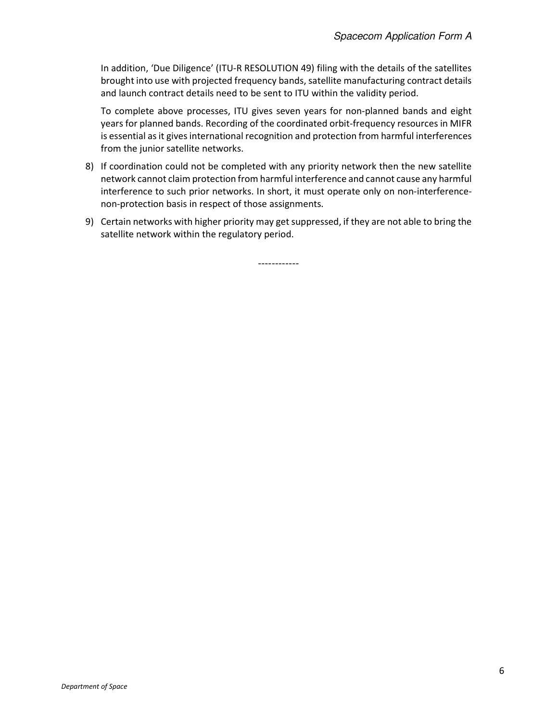In addition, 'Due Diligence' (ITU-R RESOLUTION 49) filing with the details of the satellites brought into use with projected frequency bands, satellite manufacturing contract details and launch contract details need to be sent to ITU within the validity period.

To complete above processes, ITU gives seven years for non-planned bands and eight years for planned bands. Recording of the coordinated orbit-frequency resources in MIFR is essential as it gives international recognition and protection from harmful interferences from the junior satellite networks.

- 8) If coordination could not be completed with any priority network then the new satellite network cannot claim protection from harmful interference and cannot cause any harmful interference to such prior networks. In short, it must operate only on non-interferencenon-protection basis in respect of those assignments.
- 9) Certain networks with higher priority may get suppressed, if they are not able to bring the satellite network within the regulatory period.

------------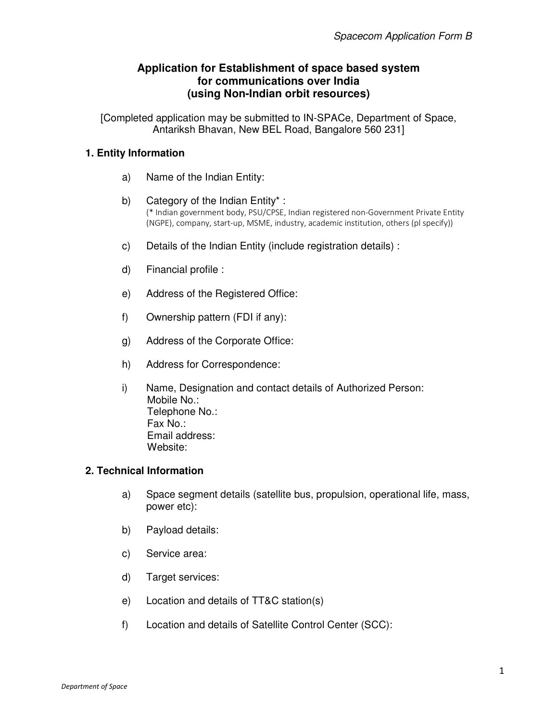# **Application for Establishment of space based system for communications over India (using Non-Indian orbit resources)**

[Completed application may be submitted to IN-SPACe, Department of Space, Antariksh Bhavan, New BEL Road, Bangalore 560 231]

## **1. Entity Information**

- a) Name of the Indian Entity:
- b) Category of the Indian Entity\* : (\* Indian government body, PSU/CPSE, Indian registered non-Government Private Entity (NGPE), company, start-up, MSME, industry, academic institution, others (pl specify))
- c) Details of the Indian Entity (include registration details) :
- d) Financial profile :
- e) Address of the Registered Office:
- f) Ownership pattern (FDI if any):
- g) Address of the Corporate Office:
- h) Address for Correspondence:
- i) Name, Designation and contact details of Authorized Person: Mobile No.: Telephone No.: Fax No.: Email address: Website:

## **2. Technical Information**

- a) Space segment details (satellite bus, propulsion, operational life, mass, power etc):
- b) Payload details:
- c) Service area:
- d) Target services:
- e) Location and details of TT&C station(s)
- f) Location and details of Satellite Control Center (SCC):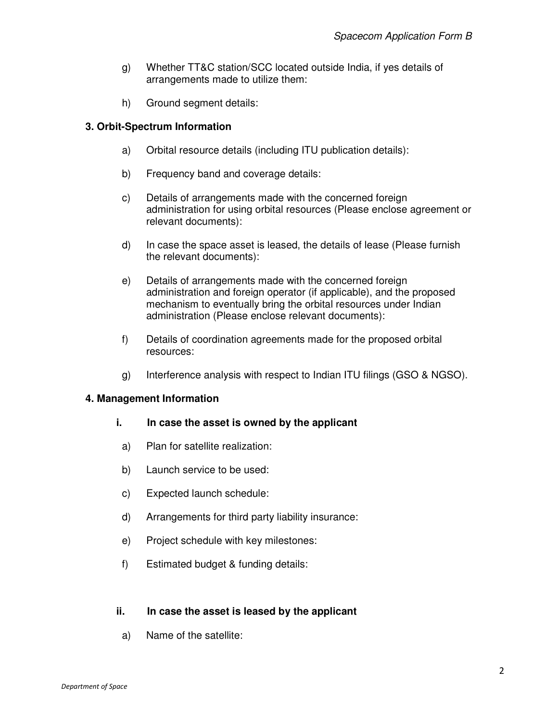- g) Whether TT&C station/SCC located outside India, if yes details of arrangements made to utilize them:
- h) Ground segment details:

## **3. Orbit-Spectrum Information**

- a) Orbital resource details (including ITU publication details):
- b) Frequency band and coverage details:
- c) Details of arrangements made with the concerned foreign administration for using orbital resources (Please enclose agreement or relevant documents):
- d) In case the space asset is leased, the details of lease (Please furnish the relevant documents):
- e) Details of arrangements made with the concerned foreign administration and foreign operator (if applicable), and the proposed mechanism to eventually bring the orbital resources under Indian administration (Please enclose relevant documents):
- f) Details of coordination agreements made for the proposed orbital resources:
- g) Interference analysis with respect to Indian ITU filings (GSO & NGSO).

## **4. Management Information**

#### **i. In case the asset is owned by the applicant**

- a) Plan for satellite realization:
- b) Launch service to be used:
- c) Expected launch schedule:
- d) Arrangements for third party liability insurance:
- e) Project schedule with key milestones:
- f) Estimated budget & funding details:

## **ii. In case the asset is leased by the applicant**

a) Name of the satellite: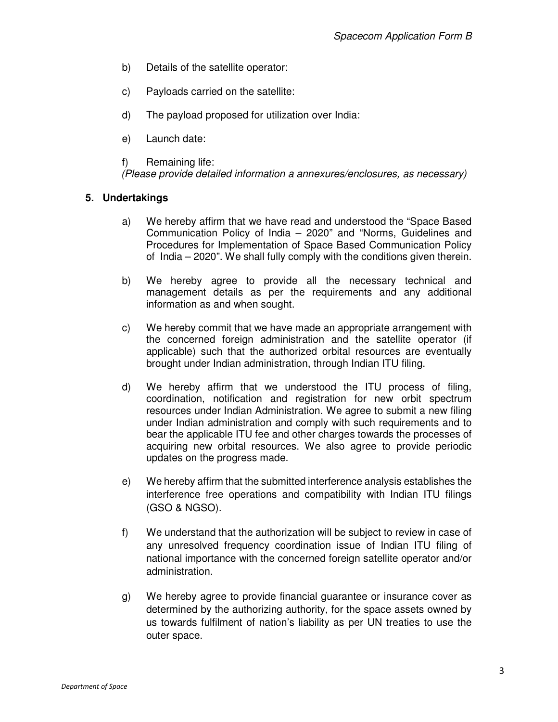- b) Details of the satellite operator:
- c) Payloads carried on the satellite:
- d) The payload proposed for utilization over India:
- e) Launch date:
- f) Remaining life:

(Please provide detailed information a annexures/enclosures, as necessary)

#### **5. Undertakings**

- a) We hereby affirm that we have read and understood the "Space Based Communication Policy of India – 2020" and "Norms, Guidelines and Procedures for Implementation of Space Based Communication Policy of India – 2020". We shall fully comply with the conditions given therein.
- b) We hereby agree to provide all the necessary technical and management details as per the requirements and any additional information as and when sought.
- c) We hereby commit that we have made an appropriate arrangement with the concerned foreign administration and the satellite operator (if applicable) such that the authorized orbital resources are eventually brought under Indian administration, through Indian ITU filing.
- d) We hereby affirm that we understood the ITU process of filing, coordination, notification and registration for new orbit spectrum resources under Indian Administration. We agree to submit a new filing under Indian administration and comply with such requirements and to bear the applicable ITU fee and other charges towards the processes of acquiring new orbital resources. We also agree to provide periodic updates on the progress made.
- e) We hereby affirm that the submitted interference analysis establishes the interference free operations and compatibility with Indian ITU filings (GSO & NGSO).
- f) We understand that the authorization will be subject to review in case of any unresolved frequency coordination issue of Indian ITU filing of national importance with the concerned foreign satellite operator and/or administration.
- g) We hereby agree to provide financial guarantee or insurance cover as determined by the authorizing authority, for the space assets owned by us towards fulfilment of nation's liability as per UN treaties to use the outer space.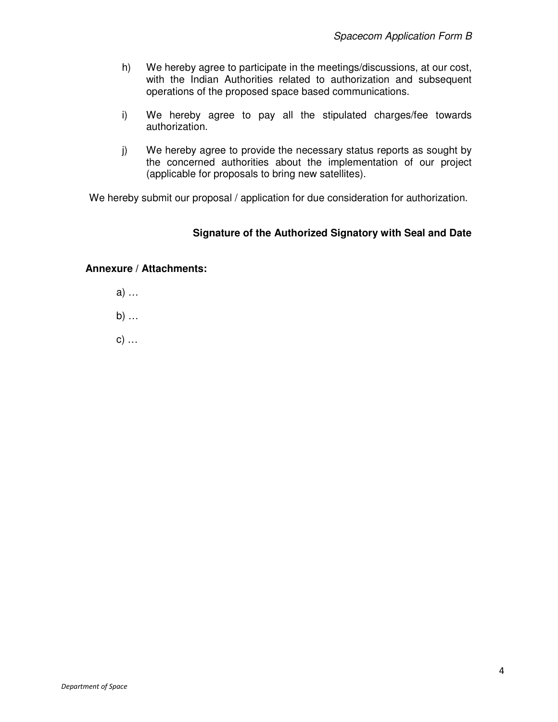- h) We hereby agree to participate in the meetings/discussions, at our cost, with the Indian Authorities related to authorization and subsequent operations of the proposed space based communications.
- i) We hereby agree to pay all the stipulated charges/fee towards authorization.
- j) We hereby agree to provide the necessary status reports as sought by the concerned authorities about the implementation of our project (applicable for proposals to bring new satellites).

We hereby submit our proposal / application for due consideration for authorization.

# **Signature of the Authorized Signatory with Seal and Date**

## **Annexure / Attachments:**

- a) …
- b) …
- c) …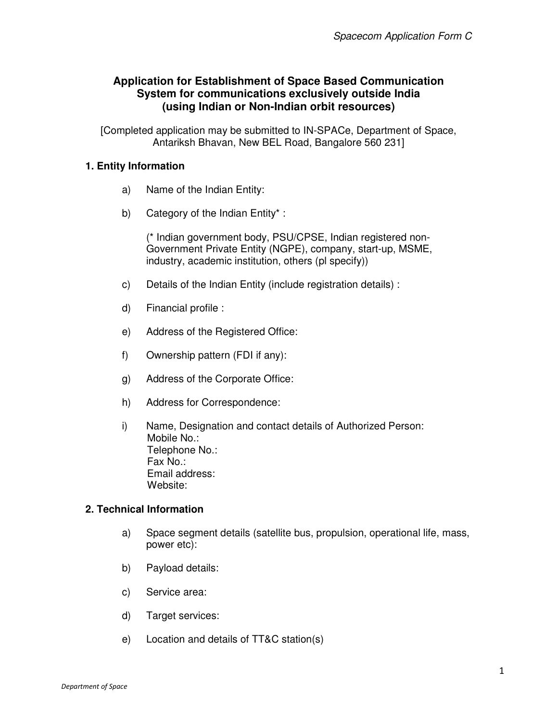# **Application for Establishment of Space Based Communication System for communications exclusively outside India (using Indian or Non-Indian orbit resources)**

[Completed application may be submitted to IN-SPACe, Department of Space, Antariksh Bhavan, New BEL Road, Bangalore 560 231]

# **1. Entity Information**

- a) Name of the Indian Entity:
- b) Category of the Indian Entity\* :

(\* Indian government body, PSU/CPSE, Indian registered non-Government Private Entity (NGPE), company, start-up, MSME, industry, academic institution, others (pl specify))

- c) Details of the Indian Entity (include registration details) :
- d) Financial profile :
- e) Address of the Registered Office:
- f) Ownership pattern (FDI if any):
- g) Address of the Corporate Office:
- h) Address for Correspondence:
- i) Name, Designation and contact details of Authorized Person: Mobile No.: Telephone No.: Fax No.: Email address: Website:

# **2. Technical Information**

- a) Space segment details (satellite bus, propulsion, operational life, mass, power etc):
- b) Payload details:
- c) Service area:
- d) Target services:
- e) Location and details of TT&C station(s)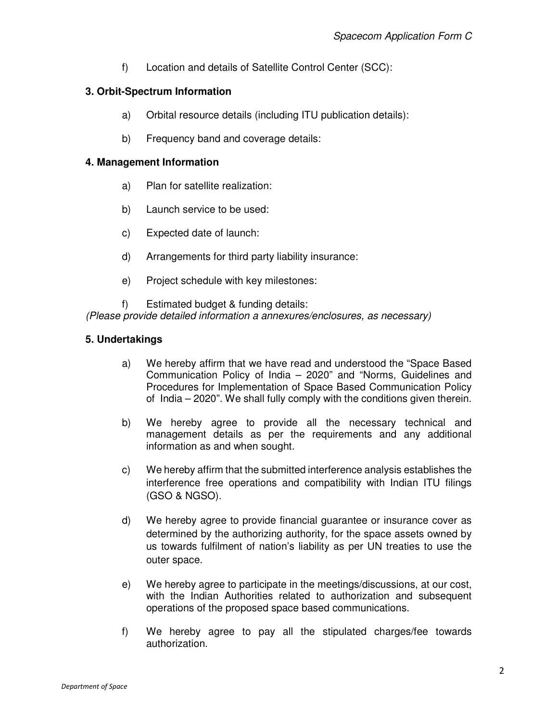f) Location and details of Satellite Control Center (SCC):

## **3. Orbit-Spectrum Information**

- a) Orbital resource details (including ITU publication details):
- b) Frequency band and coverage details:

## **4. Management Information**

- a) Plan for satellite realization:
- b) Launch service to be used:
- c) Expected date of launch:
- d) Arrangements for third party liability insurance:
- e) Project schedule with key milestones:

f) Estimated budget & funding details: (Please provide detailed information a annexures/enclosures, as necessary)

## **5. Undertakings**

- a) We hereby affirm that we have read and understood the "Space Based Communication Policy of India – 2020" and "Norms, Guidelines and Procedures for Implementation of Space Based Communication Policy of India – 2020". We shall fully comply with the conditions given therein.
- b) We hereby agree to provide all the necessary technical and management details as per the requirements and any additional information as and when sought.
- c) We hereby affirm that the submitted interference analysis establishes the interference free operations and compatibility with Indian ITU filings (GSO & NGSO).
- d) We hereby agree to provide financial guarantee or insurance cover as determined by the authorizing authority, for the space assets owned by us towards fulfilment of nation's liability as per UN treaties to use the outer space.
- e) We hereby agree to participate in the meetings/discussions, at our cost, with the Indian Authorities related to authorization and subsequent operations of the proposed space based communications.
- f) We hereby agree to pay all the stipulated charges/fee towards authorization.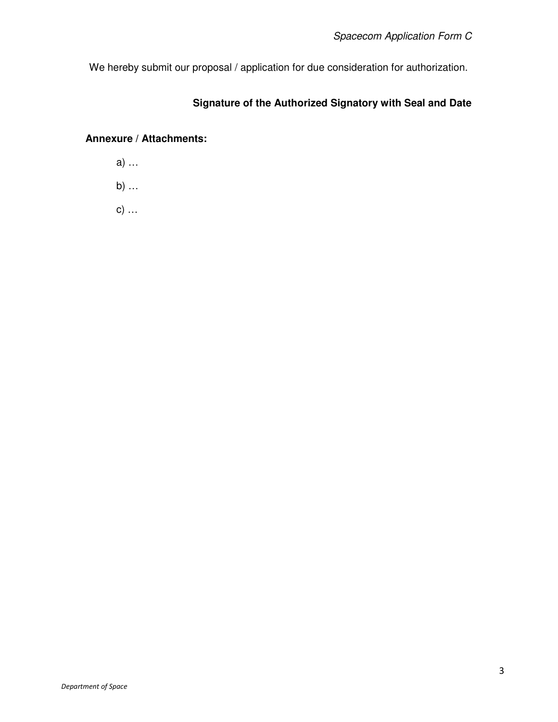We hereby submit our proposal / application for due consideration for authorization.

# **Signature of the Authorized Signatory with Seal and Date**

# **Annexure / Attachments:**

a) … b) …

c) …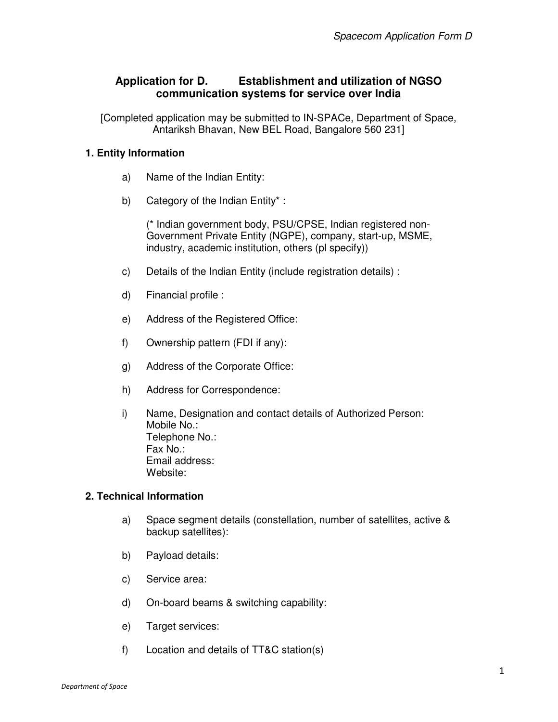# **Application for D. Establishment and utilization of NGSO communication systems for service over India**

[Completed application may be submitted to IN-SPACe, Department of Space, Antariksh Bhavan, New BEL Road, Bangalore 560 231]

## **1. Entity Information**

- a) Name of the Indian Entity:
- b) Category of the Indian Entity\* :

(\* Indian government body, PSU/CPSE, Indian registered non-Government Private Entity (NGPE), company, start-up, MSME, industry, academic institution, others (pl specify))

- c) Details of the Indian Entity (include registration details) :
- d) Financial profile :
- e) Address of the Registered Office:
- f) Ownership pattern (FDI if any):
- g) Address of the Corporate Office:
- h) Address for Correspondence:
- i) Name, Designation and contact details of Authorized Person: Mobile No.: Telephone No.: Fax No.: Email address: Website:

#### **2. Technical Information**

- a) Space segment details (constellation, number of satellites, active & backup satellites):
- b) Payload details:
- c) Service area:
- d) On-board beams & switching capability:
- e) Target services:
- f) Location and details of TT&C station(s)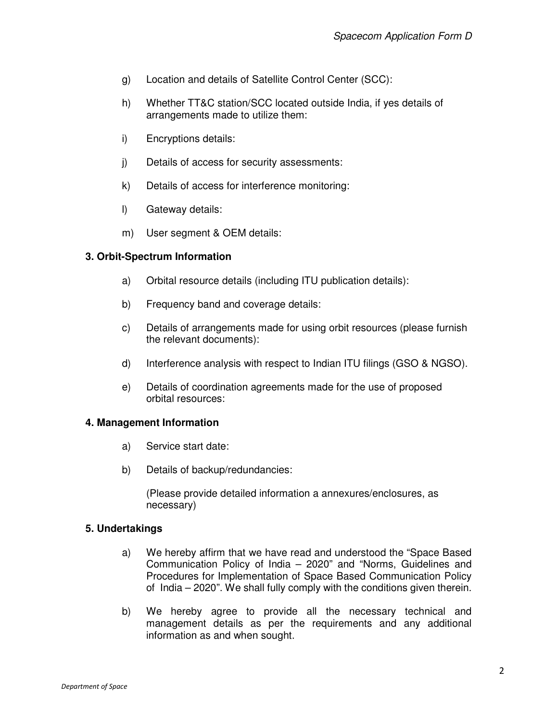- g) Location and details of Satellite Control Center (SCC):
- h) Whether TT&C station/SCC located outside India, if yes details of arrangements made to utilize them:
- i) Encryptions details:
- j) Details of access for security assessments:
- k) Details of access for interference monitoring:
- l) Gateway details:
- m) User segment & OEM details:

## **3. Orbit-Spectrum Information**

- a) Orbital resource details (including ITU publication details):
- b) Frequency band and coverage details:
- c) Details of arrangements made for using orbit resources (please furnish the relevant documents):
- d) Interference analysis with respect to Indian ITU filings (GSO & NGSO).
- e) Details of coordination agreements made for the use of proposed orbital resources:

## **4. Management Information**

- a) Service start date:
- b) Details of backup/redundancies:

(Please provide detailed information a annexures/enclosures, as necessary)

## **5. Undertakings**

- a) We hereby affirm that we have read and understood the "Space Based Communication Policy of India – 2020" and "Norms, Guidelines and Procedures for Implementation of Space Based Communication Policy of India – 2020". We shall fully comply with the conditions given therein.
- b) We hereby agree to provide all the necessary technical and management details as per the requirements and any additional information as and when sought.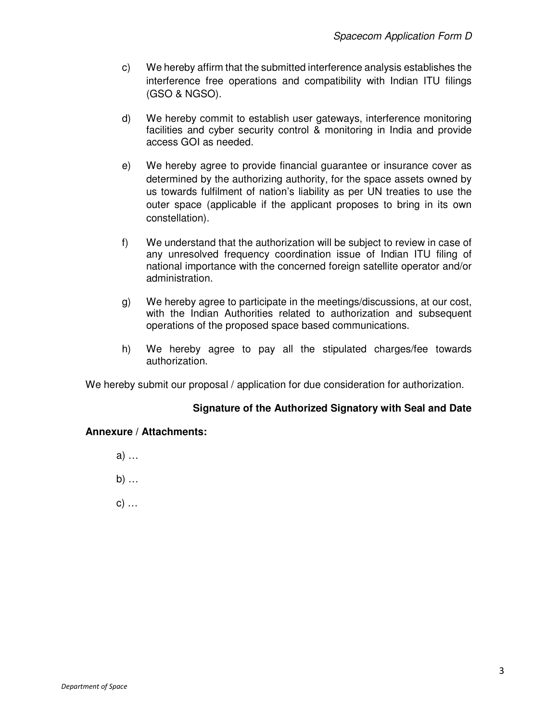- c) We hereby affirm that the submitted interference analysis establishes the interference free operations and compatibility with Indian ITU filings (GSO & NGSO).
- d) We hereby commit to establish user gateways, interference monitoring facilities and cyber security control & monitoring in India and provide access GOI as needed.
- e) We hereby agree to provide financial guarantee or insurance cover as determined by the authorizing authority, for the space assets owned by us towards fulfilment of nation's liability as per UN treaties to use the outer space (applicable if the applicant proposes to bring in its own constellation).
- f) We understand that the authorization will be subject to review in case of any unresolved frequency coordination issue of Indian ITU filing of national importance with the concerned foreign satellite operator and/or administration.
- g) We hereby agree to participate in the meetings/discussions, at our cost, with the Indian Authorities related to authorization and subsequent operations of the proposed space based communications.
- h) We hereby agree to pay all the stipulated charges/fee towards authorization.

We hereby submit our proposal / application for due consideration for authorization.

## **Signature of the Authorized Signatory with Seal and Date**

## **Annexure / Attachments:**

- a) …
- b) …
- c) …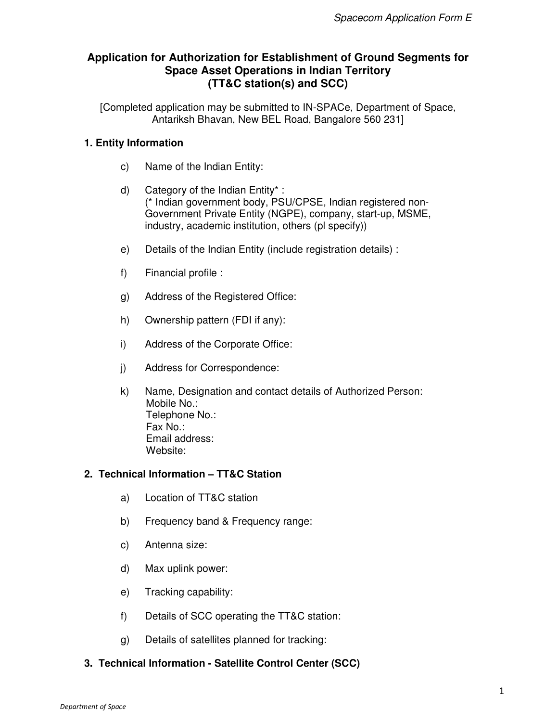# **Application for Authorization for Establishment of Ground Segments for Space Asset Operations in Indian Territory (TT&C station(s) and SCC)**

[Completed application may be submitted to IN-SPACe, Department of Space, Antariksh Bhavan, New BEL Road, Bangalore 560 231]

## **1. Entity Information**

- c) Name of the Indian Entity:
- d) Category of the Indian Entity\* : (\* Indian government body, PSU/CPSE, Indian registered non-Government Private Entity (NGPE), company, start-up, MSME, industry, academic institution, others (pl specify))
- e) Details of the Indian Entity (include registration details) :
- f) Financial profile :
- g) Address of the Registered Office:
- h) Ownership pattern (FDI if any):
- i) Address of the Corporate Office:
- j) Address for Correspondence:
- k) Name, Designation and contact details of Authorized Person: Mobile No.: Telephone No.: Fax No.: Email address: Website:

#### **2. Technical Information – TT&C Station**

- a) Location of TT&C station
- b) Frequency band & Frequency range:
- c) Antenna size:
- d) Max uplink power:
- e) Tracking capability:
- f) Details of SCC operating the TT&C station:
- g) Details of satellites planned for tracking:

## **3. Technical Information - Satellite Control Center (SCC)**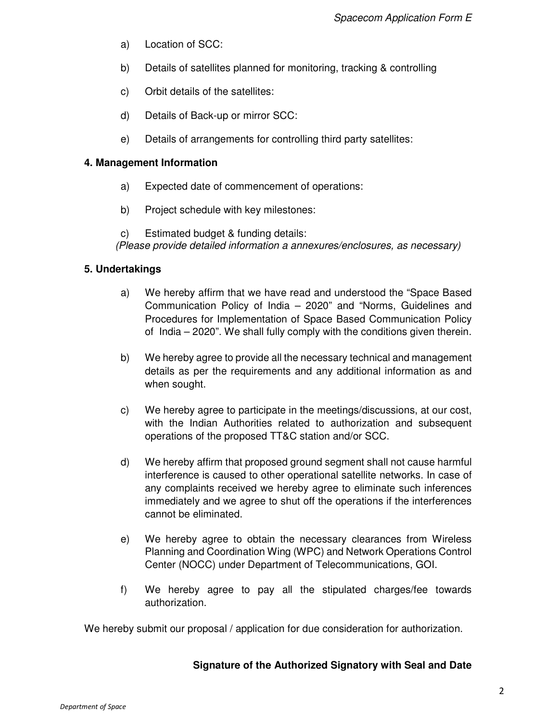- a) Location of SCC:
- b) Details of satellites planned for monitoring, tracking & controlling
- c) Orbit details of the satellites:
- d) Details of Back-up or mirror SCC:
- e) Details of arrangements for controlling third party satellites:

## **4. Management Information**

- a) Expected date of commencement of operations:
- b) Project schedule with key milestones:

c) Estimated budget & funding details: (Please provide detailed information a annexures/enclosures, as necessary)

## **5. Undertakings**

- a) We hereby affirm that we have read and understood the "Space Based Communication Policy of India – 2020" and "Norms, Guidelines and Procedures for Implementation of Space Based Communication Policy of India – 2020". We shall fully comply with the conditions given therein.
- b) We hereby agree to provide all the necessary technical and management details as per the requirements and any additional information as and when sought.
- c) We hereby agree to participate in the meetings/discussions, at our cost, with the Indian Authorities related to authorization and subsequent operations of the proposed TT&C station and/or SCC.
- d) We hereby affirm that proposed ground segment shall not cause harmful interference is caused to other operational satellite networks. In case of any complaints received we hereby agree to eliminate such inferences immediately and we agree to shut off the operations if the interferences cannot be eliminated.
- e) We hereby agree to obtain the necessary clearances from Wireless Planning and Coordination Wing (WPC) and Network Operations Control Center (NOCC) under Department of Telecommunications, GOI.
- f) We hereby agree to pay all the stipulated charges/fee towards authorization.

We hereby submit our proposal / application for due consideration for authorization.

## **Signature of the Authorized Signatory with Seal and Date**